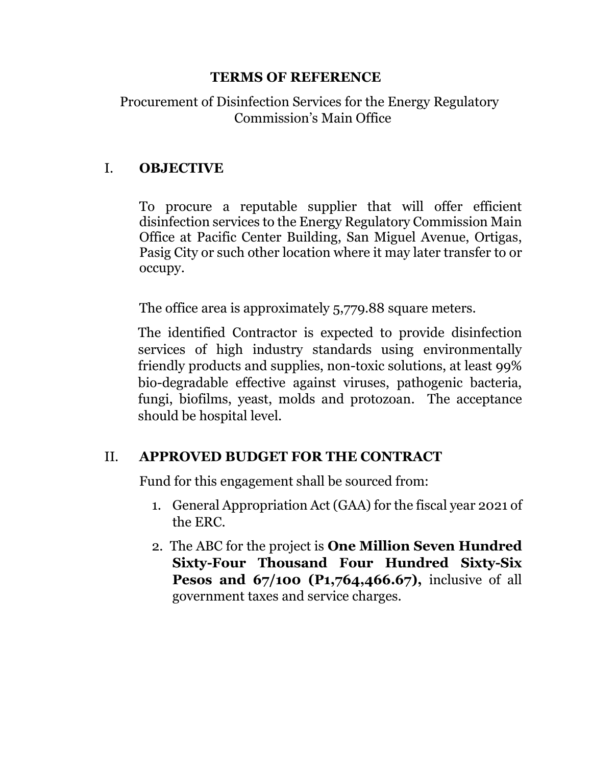#### **TERMS OF REFERENCE**

Procurement of Disinfection Services for the Energy Regulatory Commission's Main Office

## I. **OBJECTIVE**

To procure a reputable supplier that will offer efficient disinfection services to the Energy Regulatory Commission Main Office at Pacific Center Building, San Miguel Avenue, Ortigas, Pasig City or such other location where it may later transfer to or occupy.

The office area is approximately 5,779.88 square meters.

The identified Contractor is expected to provide disinfection services of high industry standards using environmentally friendly products and supplies, non-toxic solutions, at least 99% bio-degradable effective against viruses, pathogenic bacteria, fungi, biofilms, yeast, molds and protozoan. The acceptance should be hospital level.

# II. **APPROVED BUDGET FOR THE CONTRACT**

Fund for this engagement shall be sourced from:

- 1. General Appropriation Act (GAA) for the fiscal year 2021 of the ERC.
- 2. The ABC for the project is **One Million Seven Hundred Sixty-Four Thousand Four Hundred Sixty-Six Pesos and 67/100 (P1,764,466.67), inclusive of all** government taxes and service charges.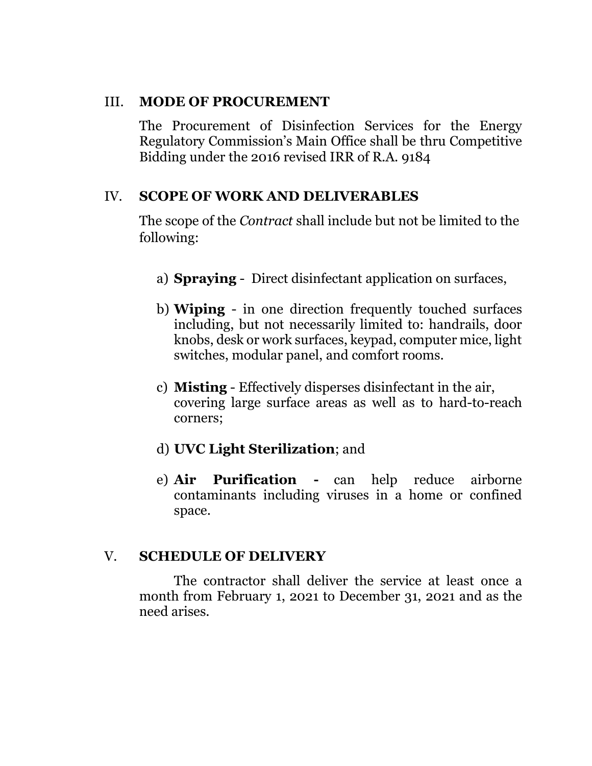#### III. **MODE OF PROCUREMENT**

The Procurement of Disinfection Services for the Energy Regulatory Commission's Main Office shall be thru Competitive Bidding under the 2016 revised IRR of R.A. 9184

# IV. **SCOPE OF WORK AND DELIVERABLES**

The scope of the *Contract* shall include but not be limited to the following:

- a) **Spraying** Direct disinfectant application on surfaces,
- b) **Wiping** in one direction frequently touched surfaces including, but not necessarily limited to: handrails, door knobs, desk or work surfaces, keypad, computer mice, light switches, modular panel, and comfort rooms.
- c) **Misting** Effectively disperses disinfectant in the air, covering large surface areas as well as to hard-to-reach corners;
- d) **UVC Light Sterilization**; and
- e) **Air Purification -** can help reduce airborne contaminants including viruses in a home or confined space.

# V. **SCHEDULE OF DELIVERY**

The contractor shall deliver the service at least once a month from February 1, 2021 to December 31, 2021 and as the need arises.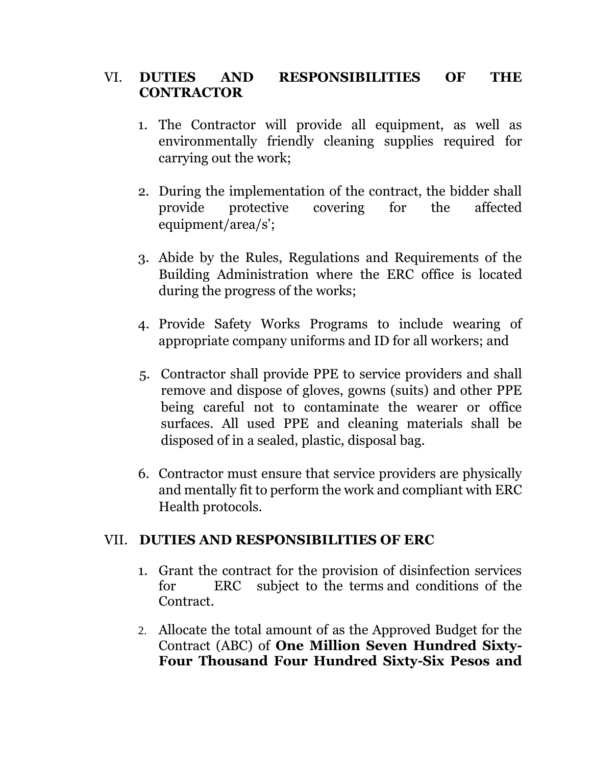## VI. **DUTIES AND RESPONSIBILITIES OF THE CONTRACTOR**

- 1. The Contractor will provide all equipment, as well as environmentally friendly cleaning supplies required for carrying out the work;
- 2. During the implementation of the contract, the bidder shall provide protective covering for the affected equipment/area/s';
- 3. Abide by the Rules, Regulations and Requirements of the Building Administration where the ERC office is located during the progress of the works;
- 4. Provide Safety Works Programs to include wearing of appropriate company uniforms and ID for all workers; and
- 5. Contractor shall provide PPE to service providers and shall remove and dispose of gloves, gowns (suits) and other PPE being careful not to contaminate the wearer or office surfaces. All used PPE and cleaning materials shall be disposed of in a sealed, plastic, disposal bag.
- 6. Contractor must ensure that service providers are physically and mentally fit to perform the work and compliant with ERC Health protocols.

### VII. **DUTIES AND RESPONSIBILITIES OF ERC**

- 1. Grant the contract for the provision of disinfection services for ERC subject to the terms and conditions of the Contract.
- 2. Allocate the total amount of as the Approved Budget for the Contract (ABC) of **One Million Seven Hundred Sixty-Four Thousand Four Hundred Sixty-Six Pesos and**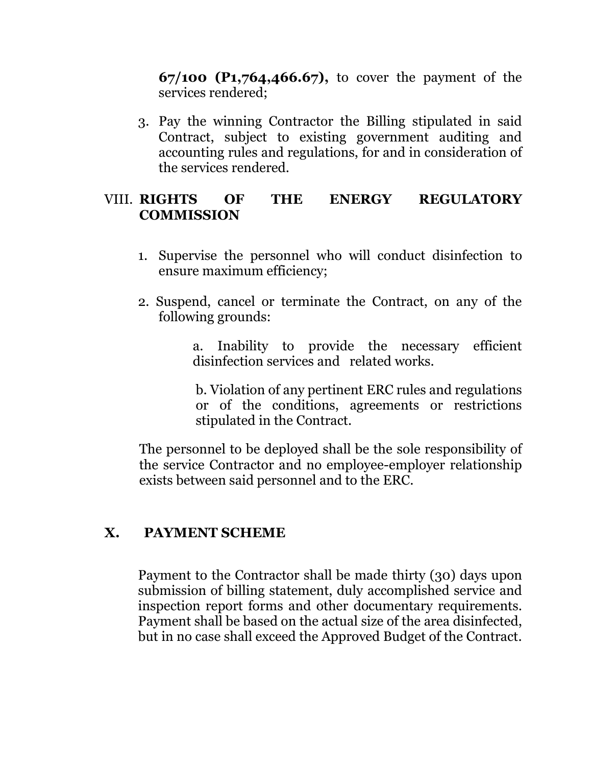**67/100 (P1,764,466.67),** to cover the payment of the services rendered;

3. Pay the winning Contractor the Billing stipulated in said Contract, subject to existing government auditing and accounting rules and regulations, for and in consideration of the services rendered.

### VIII. **RIGHTS OF THE ENERGY REGULATORY COMMISSION**

- 1. Supervise the personnel who will conduct disinfection to ensure maximum efficiency;
- 2. Suspend, cancel or terminate the Contract, on any of the following grounds:

a. Inability to provide the necessary efficient disinfection services and related works.

b. Violation of any pertinent ERC rules and regulations or of the conditions, agreements or restrictions stipulated in the Contract.

The personnel to be deployed shall be the sole responsibility of the service Contractor and no employee-employer relationship exists between said personnel and to the ERC.

#### **X. PAYMENT SCHEME**

Payment to the Contractor shall be made thirty (30) days upon submission of billing statement, duly accomplished service and inspection report forms and other documentary requirements. Payment shall be based on the actual size of the area disinfected, but in no case shall exceed the Approved Budget of the Contract.